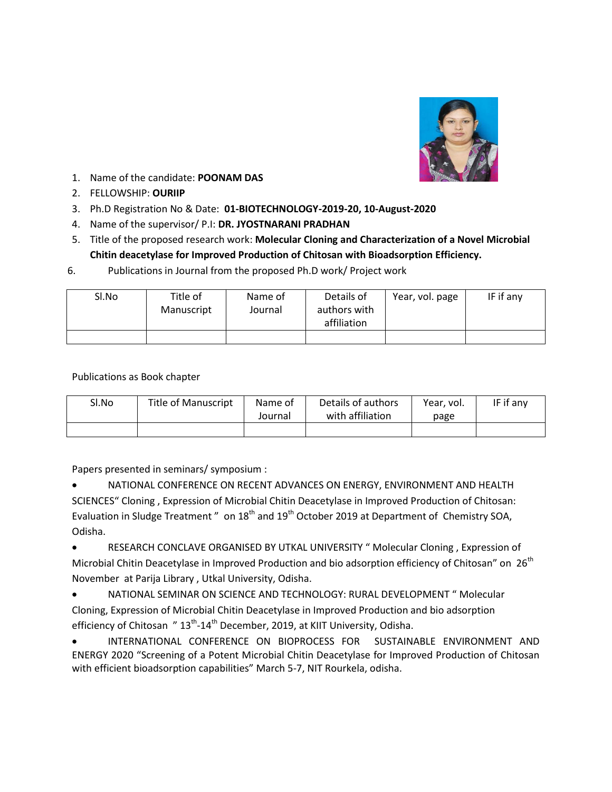

- 1. Name of the candidate: **POONAM DAS**
- 2. FELLOWSHIP: **OURIIP**
- 3. Ph.D Registration No & Date: **01-BIOTECHNOLOGY-2019-20, 10-August-2020**
- 4. Name of the supervisor/ P.I: **DR. JYOSTNARANI PRADHAN**
- 5. Title of the proposed research work: **Molecular Cloning and Characterization of a Novel Microbial Chitin deacetylase for Improved Production of Chitosan with Bioadsorption Efficiency.**
- 6. Publications in Journal from the proposed Ph.D work/ Project work

| Sl.No | Title of   | Name of | Details of                  | Year, vol. page | IF if any |
|-------|------------|---------|-----------------------------|-----------------|-----------|
|       | Manuscript | Journal | authors with<br>affiliation |                 |           |
|       |            |         |                             |                 |           |

Publications as Book chapter

| Sl.No | <b>Title of Manuscript</b> | Name of<br>Journal | Details of authors<br>with affiliation | Year, vol.<br>page | IF if any |
|-------|----------------------------|--------------------|----------------------------------------|--------------------|-----------|
|       |                            |                    |                                        |                    |           |

Papers presented in seminars/ symposium :

 NATIONAL CONFERENCE ON RECENT ADVANCES ON ENERGY, ENVIRONMENT AND HEALTH SCIENCES" Cloning , Expression of Microbial Chitin Deacetylase in Improved Production of Chitosan: Evaluation in Sludge Treatment " on 18<sup>th</sup> and 19<sup>th</sup> October 2019 at Department of Chemistry SOA, Odisha.

 RESEARCH CONCLAVE ORGANISED BY UTKAL UNIVERSITY " Molecular Cloning , Expression of Microbial Chitin Deacetylase in Improved Production and bio adsorption efficiency of Chitosan" on  $26^{th}$ November at Parija Library , Utkal University, Odisha.

 NATIONAL SEMINAR ON SCIENCE AND TECHNOLOGY: RURAL DEVELOPMENT " Molecular Cloning, Expression of Microbial Chitin Deacetylase in Improved Production and bio adsorption efficiency of Chitosan "  $13<sup>th</sup>$ -14<sup>th</sup> December, 2019, at KIIT University, Odisha.

 INTERNATIONAL CONFERENCE ON BIOPROCESS FOR SUSTAINABLE ENVIRONMENT AND ENERGY 2020 "Screening of a Potent Microbial Chitin Deacetylase for Improved Production of Chitosan with efficient bioadsorption capabilities" March 5-7, NIT Rourkela, odisha.